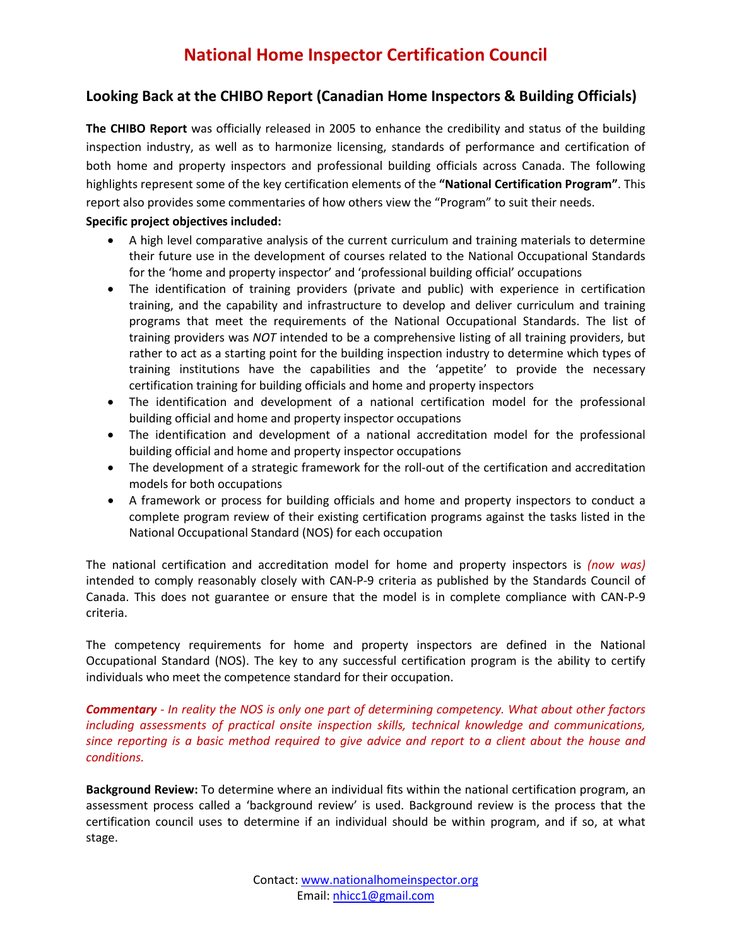## **Looking Back at the CHIBO Report (Canadian Home Inspectors & Building Officials)**

**The CHIBO Report** was officially released in 2005 to enhance the credibility and status of the building inspection industry, as well as to harmonize licensing, standards of performance and certification of both home and property inspectors and professional building officials across Canada. The following highlights represent some of the key certification elements of the **"National Certification Program"**. This report also provides some commentaries of how others view the "Program" to suit their needs. **Specific project objectives included:**

- A high level comparative analysis of the current curriculum and training materials to determine their future use in the development of courses related to the National Occupational Standards for the 'home and property inspector' and 'professional building official' occupations
- The identification of training providers (private and public) with experience in certification training, and the capability and infrastructure to develop and deliver curriculum and training programs that meet the requirements of the National Occupational Standards. The list of training providers was *NOT* intended to be a comprehensive listing of all training providers, but rather to act as a starting point for the building inspection industry to determine which types of training institutions have the capabilities and the 'appetite' to provide the necessary certification training for building officials and home and property inspectors
- The identification and development of a national certification model for the professional building official and home and property inspector occupations
- The identification and development of a national accreditation model for the professional building official and home and property inspector occupations
- The development of a strategic framework for the roll-out of the certification and accreditation models for both occupations
- A framework or process for building officials and home and property inspectors to conduct a complete program review of their existing certification programs against the tasks listed in the National Occupational Standard (NOS) for each occupation

The national certification and accreditation model for home and property inspectors is *(now was)* intended to comply reasonably closely with CAN-P-9 criteria as published by the Standards Council of Canada. This does not guarantee or ensure that the model is in complete compliance with CAN-P-9 criteria.

The competency requirements for home and property inspectors are defined in the National Occupational Standard (NOS). The key to any successful certification program is the ability to certify individuals who meet the competence standard for their occupation.

*Commentary - In reality the NOS is only one part of determining competency. What about other factors including assessments of practical onsite inspection skills, technical knowledge and communications, since reporting is a basic method required to give advice and report to a client about the house and conditions.* 

**Background Review:** To determine where an individual fits within the national certification program, an assessment process called a 'background review' is used. Background review is the process that the certification council uses to determine if an individual should be within program, and if so, at what stage.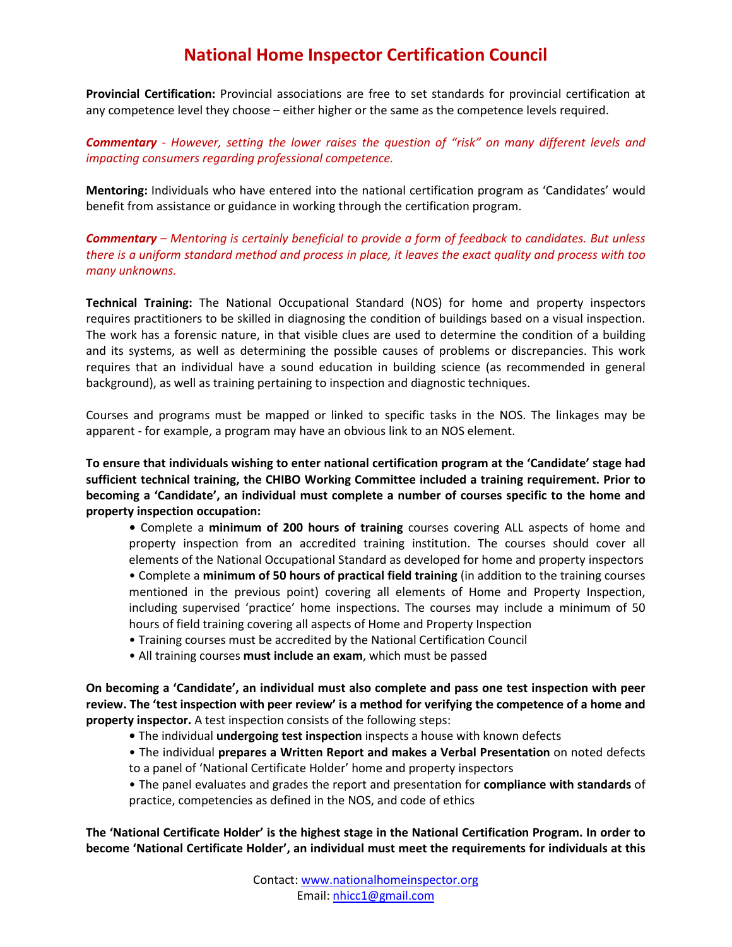## **National Home Inspector Certification Council**

**Provincial Certification:** Provincial associations are free to set standards for provincial certification at any competence level they choose – either higher or the same as the competence levels required.

*Commentary - However, setting the lower raises the question of "risk" on many different levels and impacting consumers regarding professional competence.* 

**Mentoring:** Individuals who have entered into the national certification program as 'Candidates' would benefit from assistance or guidance in working through the certification program.

*Commentary – Mentoring is certainly beneficial to provide a form of feedback to candidates. But unless there is a uniform standard method and process in place, it leaves the exact quality and process with too many unknowns.* 

**Technical Training:** The National Occupational Standard (NOS) for home and property inspectors requires practitioners to be skilled in diagnosing the condition of buildings based on a visual inspection. The work has a forensic nature, in that visible clues are used to determine the condition of a building and its systems, as well as determining the possible causes of problems or discrepancies. This work requires that an individual have a sound education in building science (as recommended in general background), as well as training pertaining to inspection and diagnostic techniques.

Courses and programs must be mapped or linked to specific tasks in the NOS. The linkages may be apparent - for example, a program may have an obvious link to an NOS element.

**To ensure that individuals wishing to enter national certification program at the 'Candidate' stage had sufficient technical training, the CHIBO Working Committee included a training requirement. Prior to becoming a 'Candidate', an individual must complete a number of courses specific to the home and property inspection occupation:**

- Complete a **minimum of 200 hours of training** courses covering ALL aspects of home and property inspection from an accredited training institution. The courses should cover all elements of the National Occupational Standard as developed for home and property inspectors
- Complete a **minimum of 50 hours of practical field training** (in addition to the training courses mentioned in the previous point) covering all elements of Home and Property Inspection, including supervised 'practice' home inspections. The courses may include a minimum of 50 hours of field training covering all aspects of Home and Property Inspection
- Training courses must be accredited by the National Certification Council
- All training courses **must include an exam**, which must be passed

**On becoming a 'Candidate', an individual must also complete and pass one test inspection with peer review. The 'test inspection with peer review' is a method for verifying the competence of a home and property inspector.** A test inspection consists of the following steps:

- The individual **undergoing test inspection** inspects a house with known defects
- The individual **prepares a Written Report and makes a Verbal Presentation** on noted defects to a panel of 'National Certificate Holder' home and property inspectors
- The panel evaluates and grades the report and presentation for **compliance with standards** of practice, competencies as defined in the NOS, and code of ethics

**The 'National Certificate Holder' is the highest stage in the National Certification Program. In order to become 'National Certificate Holder', an individual must meet the requirements for individuals at this**